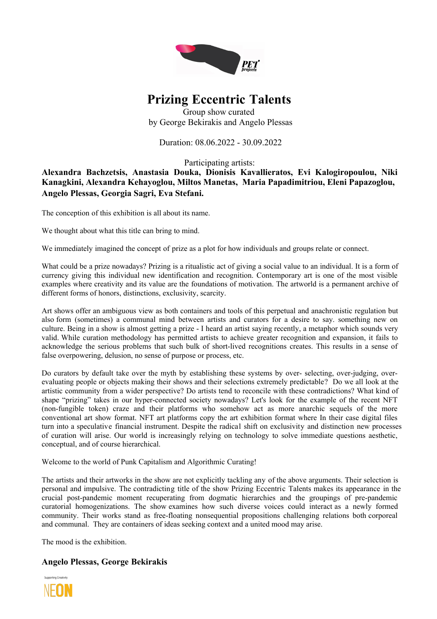

## **Prizing Eccentric Talents**

Group show curated by George Bekirakis and Angelo Plessas

Duration: 08.06.2022 - 30.09.2022

Participating artists:

**Alexandra Bachzetsis, Anastasia Douka, Dionisis Kavallieratos, Evi Kalogiropoulou, Niki Kanagkini, Alexandra Kehayoglou, Miltos Manetas, Maria Papadimitriou, Eleni Papazoglou, Angelo Plessas, Georgia Sagri, Eva Stefani.**

The conception of this exhibition is all about its name.

We thought about what this title can bring to mind.

We immediately imagined the concept of prize as a plot for how individuals and groups relate or connect.

What could be a prize nowadays? Prizing is a ritualistic act of giving a social value to an individual. It is a form of currency giving this individual new identification and recognition. Contemporary art is one of the most visible examples where creativity and its value are the foundations of motivation. The artworld is a permanent archive of different forms of honors, distinctions, exclusivity, scarcity.

Art shows offer an ambiguous view as both containers and tools of this perpetual and anachronistic regulation but also form (sometimes) a communal mind between artists and curators for a desire to say. something new on culture. Being in a show is almost getting a prize - I heard an artist saying recently, a metaphor which sounds very valid. While curation methodology has permitted artists to achieve greater recognition and expansion, it fails to acknowledge the serious problems that such bulk of short-lived recognitions creates. This results in a sense of false overpowering, delusion, no sense of purpose or process, etc.

Do curators by default take over the myth by establishing these systems by over- selecting, over-judging, overevaluating people or objects making their shows and their selections extremely predictable? Do we all look at the artistic community from a wider perspective? Do artists tend to reconcile with these contradictions? What kind of shape "prizing" takes in our hyper-connected society nowadays? Let's look for the example of the recent NFT (non-fungible token) craze and their platforms who somehow act as more anarchic sequels of the more conventional art show format. NFT art platforms copy the art exhibition format where In their case digital files turn into a speculative financial instrument. Despite the radical shift on exclusivity and distinction new processes of curation will arise. Our world is increasingly relying on technology to solve immediate questions aesthetic, conceptual, and of course hierarchical.

Welcome to the world of Punk Capitalism and Algorithmic Curating!

The artists and their artworks in the show are not explicitly tackling any of the above arguments. Their selection is personal and impulsive. The contradicting title of the show Prizing Eccentric Talents makes its appearance in the crucial post-pandemic moment recuperating from dogmatic hierarchies and the groupings of pre-pandemic curatorial homogenizations. The show examines how such diverse voices could interact as a newly formed community. Their works stand as free-floating nonsequential propositions challenging relations both corporeal and communal. They are containers of ideas seeking context and a united mood may arise.

The mood is the exhibition.

## **Angelo Plessas, George Bekirakis**